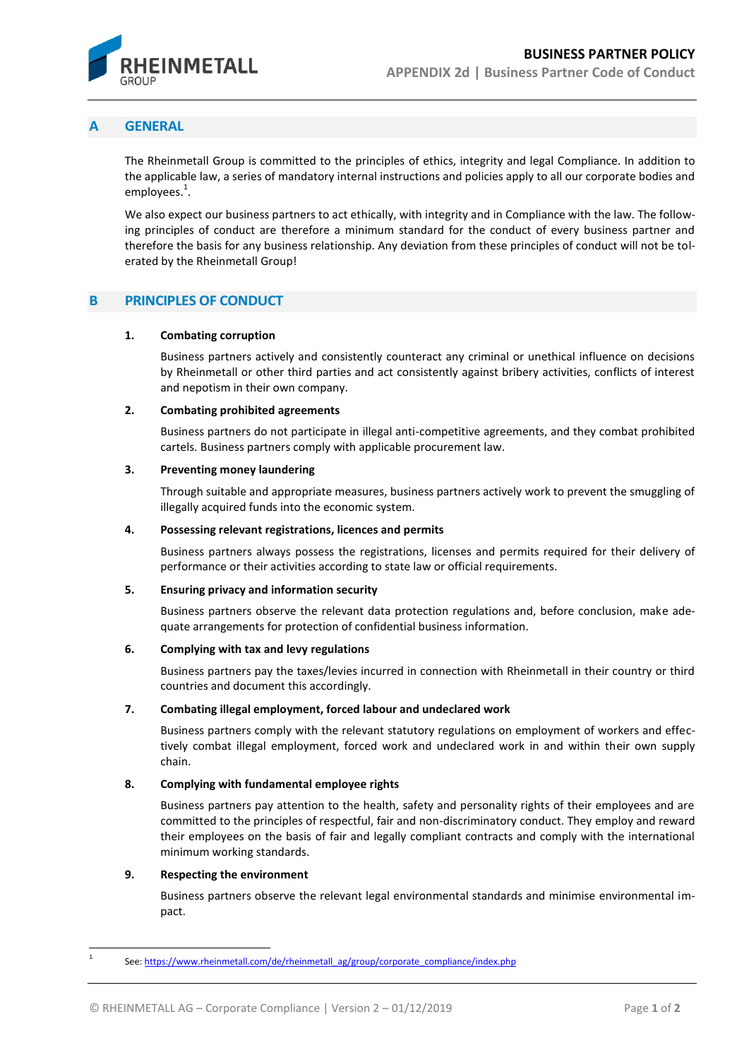

# **A GENERAL**

The Rheinmetall Group is committed to the principles of ethics, integrity and legal Compliance. In addition to the applicable law, a series of mandatory internal instructions and policies apply to all our corporate bodies and employees.<sup>1</sup>.

We also expect our business partners to act ethically, with integrity and in Compliance with the law. The following principles of conduct are therefore a minimum standard for the conduct of every business partner and therefore the basis for any business relationship. Any deviation from these principles of conduct will not be tolerated by the Rheinmetall Group!

# **B PRINCIPLES OF CONDUCT**

#### **1. Combating corruption**

Business partners actively and consistently counteract any criminal or unethical influence on decisions by Rheinmetall or other third parties and act consistently against bribery activities, conflicts of interest and nepotism in their own company.

# **2. Combating prohibited agreements**

Business partners do not participate in illegal anti-competitive agreements, and they combat prohibited cartels. Business partners comply with applicable procurement law.

#### **3. Preventing money laundering**

Through suitable and appropriate measures, business partners actively work to prevent the smuggling of illegally acquired funds into the economic system.

#### **4. Possessing relevant registrations, licences and permits**

Business partners always possess the registrations, licenses and permits required for their delivery of performance or their activities according to state law or official requirements.

# **5. Ensuring privacy and information security**

Business partners observe the relevant data protection regulations and, before conclusion, make adequate arrangements for protection of confidential business information.

# **6. Complying with tax and levy regulations**

Business partners pay the taxes/levies incurred in connection with Rheinmetall in their country or third countries and document this accordingly.

# **7. Combating illegal employment, forced labour and undeclared work**

Business partners comply with the relevant statutory regulations on employment of workers and effectively combat illegal employment, forced work and undeclared work in and within their own supply chain.

# **8. Complying with fundamental employee rights**

Business partners pay attention to the health, safety and personality rights of their employees and are committed to the principles of respectful, fair and non-discriminatory conduct. They employ and reward their employees on the basis of fair and legally compliant contracts and comply with the international minimum working standards.

# **9. Respecting the environment**

 $\overline{\phantom{a}}$ 

Business partners observe the relevant legal environmental standards and minimise environmental impact.

<sup>1</sup> See[: https://www.rheinmetall.com/de/rheinmetall\\_ag/group/corporate\\_compliance/index.php](https://www.rheinmetall.com/de/rheinmetall_ag/group/corporate_compliance/index.php)